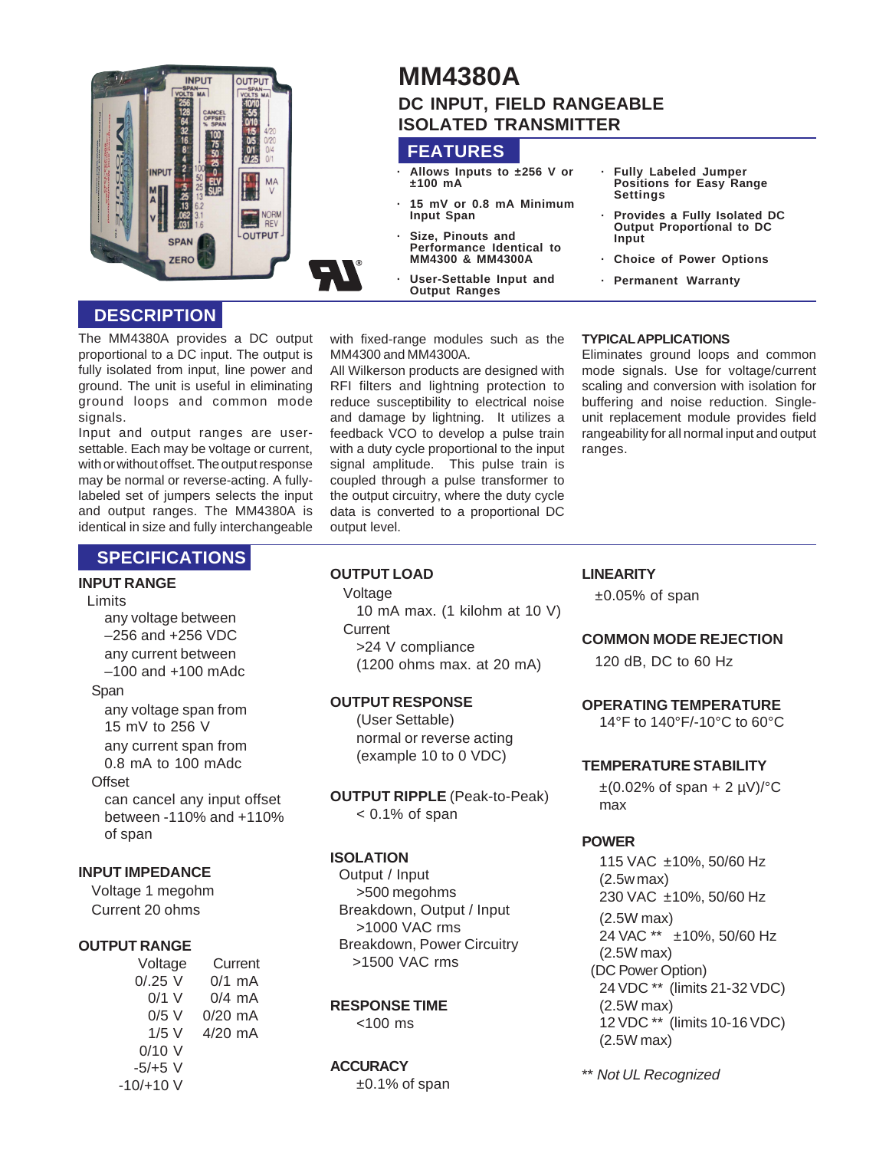

# **MM4380A DC INPUT, FIELD RANGEABLE ISOLATED TRANSMITTER**

## **FEATURES**

- **· Allows Inputs to ±256 V or ±100 mA**
- **· 15 mV or 0.8 mA Minimum Input Span**
- **· Size, Pinouts and Performance Identical to MM4300 & MM4300A**
- **· User-Settable Input and Output Ranges**
- **· Fully Labeled Jumper Positions for Easy Range Settings**
- **· Provides a Fully Isolated DC Output Proportional to DC Input**
- **· Choice of Power Options**
- **· Permanent Warranty**

## **DESCRIPTION**

The MM4380A provides a DC output proportional to a DC input. The output is fully isolated from input, line power and ground. The unit is useful in eliminating ground loops and common mode signals.

Input and output ranges are usersettable. Each may be voltage or current, with or without offset. The output response may be normal or reverse-acting. A fullylabeled set of jumpers selects the input and output ranges. The MM4380A is identical in size and fully interchangeable

with fixed-range modules such as the MM4300 and MM4300A.

All Wilkerson products are designed with RFI filters and lightning protection to reduce susceptibility to electrical noise and damage by lightning. It utilizes a feedback VCO to develop a pulse train with a duty cycle proportional to the input signal amplitude. This pulse train is coupled through a pulse transformer to the output circuitry, where the duty cycle data is converted to a proportional DC output level.

#### **TYPICAL APPLICATIONS**

Eliminates ground loops and common mode signals. Use for voltage/current scaling and conversion with isolation for buffering and noise reduction. Singleunit replacement module provides field rangeability for all normal input and output ranges.

## **SPECIFICATIONS**

### **INPUT RANGE**

#### Limits

any voltage between –256 and +256 VDC any current between –100 and +100 mAdc

#### Span

any voltage span from 15 mV to 256 V any current span from 0.8 mA to 100 mAdc **Offset** can cancel any input offset

between -110% and +110% of span

## **INPUT IMPEDANCE**

Voltage 1 megohm Current 20 ohms

#### **OUTPUT RANGE**

Voltage Current  $0/.25$  V  $0/1$  mA<br> $0/1$  V  $0/4$  mA  $0/4$  mA 0/5 V 0/20 mA 1/5 V 4/20 mA  $0/10$  V -5/+5 V  $-10/+10$  V

#### **OUTPUT LOAD**

Voltage 10 mA max. (1 kilohm at 10 V) **Current** >24 V compliance (1200 ohms max. at 20 mA)

#### **OUTPUT RESPONSE**

(User Settable) normal or reverse acting (example 10 to 0 VDC)

**OUTPUT RIPPLE** (Peak-to-Peak)  $< 0.1\%$  of span

### **ISOLATION**

Output / Input >500 megohms Breakdown, Output / Input >1000 VAC rms Breakdown, Power Circuitry >1500 VAC rms

#### **RESPONSE TIME**

<100 ms

#### **ACCURACY**

±0.1% of span

#### **LINEARITY**

 $\pm 0.05\%$  of span

#### **COMMON MODE REJECTION**

120 dB, DC to 60 Hz

### **OPERATING TEMPERATURE**

14°F to 140°F/-10°C to 60°C

#### **TEMPERATURE STABILITY**

 $\pm (0.02\% \text{ of span} + 2 \text{ }\mu\text{V})/\text{°C}$ max

#### **POWER**

115 VAC ±10%, 50/60 Hz (2.5w max) 230 VAC ±10%, 50/60 Hz (2.5W max) 24 VAC \*\* ±10%, 50/60 Hz (2.5W max) (DC Power Option) 24 VDC \*\* (limits 21-32 VDC) (2.5W max) 12 VDC \*\* (limits 10-16 VDC) (2.5W max)

\*\* Not UL Recognized